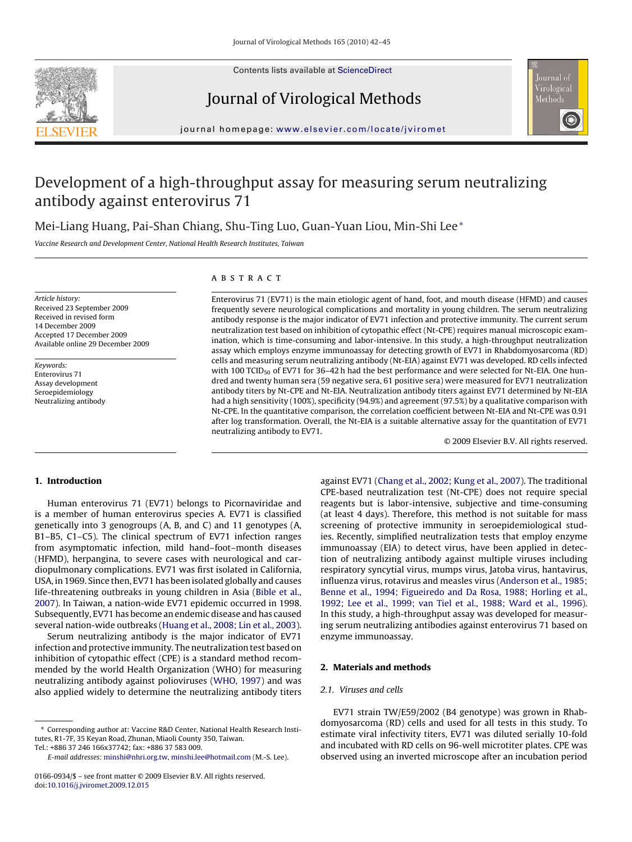

Contents lists available at [ScienceDirect](http://www.sciencedirect.com/science/journal/01660934)

## Journal of Virological Methods



journal homepage: [www.elsevier.com/locate/jviromet](http://www.elsevier.com/locate/jviromet)

# Development of a high-throughput assay for measuring serum neutralizing antibody against enterovirus 71

Mei-Liang Huang, Pai-Shan Chiang, Shu-Ting Luo, Guan-Yuan Liou, Min-Shi Lee<sup>∗</sup>

Vaccine Research and Development Center, National Health Research Institutes, Taiwan

Article history: Received 23 September 2009 Received in revised form 14 December 2009 Accepted 17 December 2009 Available online 29 December 2009

Keywords: Enterovirus 71 Assay development Seroepidemiology Neutralizing antibody

## **ABSTRACT**

Enterovirus 71 (EV71) is the main etiologic agent of hand, foot, and mouth disease (HFMD) and causes frequently severe neurological complications and mortality in young children. The serum neutralizing antibody response is the major indicator of EV71 infection and protective immunity. The current serum neutralization test based on inhibition of cytopathic effect (Nt-CPE) requires manual microscopic examination, which is time-consuming and labor-intensive. In this study, a high-throughput neutralization assay which employs enzyme immunoassay for detecting growth of EV71 in Rhabdomyosarcoma (RD) cells and measuring serum neutralizing antibody (Nt-EIA) against EV71 was developed. RD cells infected with 100 TCID<sub>50</sub> of EV71 for 36-42 h had the best performance and were selected for Nt-EIA. One hundred and twenty human sera (59 negative sera, 61 positive sera) were measured for EV71 neutralization antibody titers by Nt-CPE and Nt-EIA. Neutralization antibody titers against EV71 determined by Nt-EIA had a high sensitivity (100%), specificity (94.9%) and agreement (97.5%) by a qualitative comparison with Nt-CPE. In the quantitative comparison, the correlation coefficient between Nt-EIA and Nt-CPE was 0.91 after log transformation. Overall, the Nt-EIA is a suitable alternative assay for the quantitation of EV71 neutralizing antibody to EV71.

© 2009 Elsevier B.V. All rights reserved.

## **1. Introduction**

Human enterovirus 71 (EV71) belongs to Picornaviridae and is a member of human enterovirus species A. EV71 is classified genetically into 3 genogroups (A, B, and C) and 11 genotypes (A, B1–B5, C1–C5). The clinical spectrum of EV71 infection ranges from asymptomatic infection, mild hand–foot–month diseases (HFMD), herpangina, to severe cases with neurological and cardiopulmonary complications. EV71 was first isolated in California, USA, in 1969. Since then, EV71 has been isolated globally and causes life-threatening outbreaks in young children in Asia [\(Bible et al.,](#page-3-0) [2007\).](#page-3-0) In Taiwan, a nation-wide EV71 epidemic occurred in 1998. Subsequently, EV71 has become an endemic disease and has caused several nation-wide outbreaks ([Huang et al., 2008; Lin et al., 2003\).](#page-3-0)

Serum neutralizing antibody is the major indicator of EV71 infection and protective immunity. The neutralization test based on inhibition of cytopathic effect (CPE) is a standard method recommended by the world Health Organization (WHO) for measuring neutralizing antibody against polioviruses [\(WHO, 1997\)](#page-3-0) and was also applied widely to determine the neutralizing antibody titers

against EV71 [\(Chang et al., 2002; Kung et al., 2007\).](#page-3-0) The traditional CPE-based neutralization test (Nt-CPE) does not require special reagents but is labor-intensive, subjective and time-consuming (at least 4 days). Therefore, this method is not suitable for mass screening of protective immunity in seroepidemiological studies. Recently, simplified neutralization tests that employ enzyme immunoassay (EIA) to detect virus, have been applied in detection of neutralizing antibody against multiple viruses including respiratory syncytial virus, mumps virus, Jatoba virus, hantavirus, influenza virus, rotavirus and measles virus [\(Anderson et al., 1985;](#page-3-0) [Benne et al., 1994; Figueiredo and Da Rosa, 1988; Horling et al.,](#page-3-0) [1992; Lee et al., 1999; van Tiel et al., 1988; Ward et al., 1996\).](#page-3-0) In this study, a high-throughput assay was developed for measuring serum neutralizing antibodies against enterovirus 71 based on enzyme immunoassay.

## **2. Materials and methods**

#### 2.1. Viruses and cells

EV71 strain TW/E59/2002 (B4 genotype) was grown in Rhabdomyosarcoma (RD) cells and used for all tests in this study. To estimate viral infectivity titers, EV71 was diluted serially 10-fold and incubated with RD cells on 96-well microtiter plates. CPE was observed using an inverted microscope after an incubation period

<sup>∗</sup> Corresponding author at: Vaccine R&D Center, National Health Research Institutes, R1-7F, 35 Keyan Road, Zhunan, Miaoli County 350, Taiwan.

Tel.: +886 37 246 166x37742; fax: +886 37 583 009.

E-mail addresses: [minshi@nhri.org.tw](mailto:minshi@nhri.org.tw), [minshi.lee@hotmail.com](mailto:minshi.lee@hotmail.com) (M.-S. Lee).

<sup>0166-0934/\$ –</sup> see front matter © 2009 Elsevier B.V. All rights reserved. doi:[10.1016/j.jviromet.2009.12.015](dx.doi.org/10.1016/j.jviromet.2009.12.015)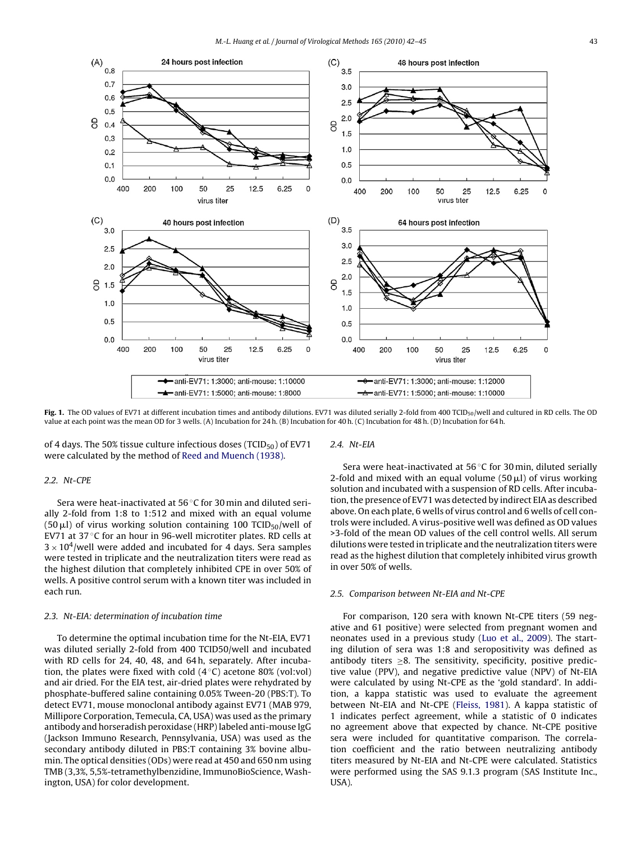<span id="page-1-0"></span>

Fig. 1. The OD values of EV71 at different incubation times and antibody dilutions. EV71 was diluted serially 2-fold from 400 TCID<sub>50</sub>/well and cultured in RD cells. The OD value at each point was the mean OD for 3 wells. (A) Incubation for 24 h. (B) Incubation for 40 h. (C) Incubation for 48 h. (D) Incubation for 64 h.

of 4 days. The 50% tissue culture infectious doses (TCID $_{50}$ ) of EV71 were calculated by the method of [Reed and Muench \(1938\).](#page-3-0)

#### 2.2. Nt-CPE

Sera were heat-inactivated at 56 ◦C for 30 min and diluted serially 2-fold from 1:8 to 1:512 and mixed with an equal volume (50  $\mu$ l) of virus working solution containing 100 TCID $_{50}/$ well of EV71 at 37 ◦C for an hour in 96-well microtiter plates. RD cells at  $3 \times 10^4$ /well were added and incubated for 4 days. Sera samples were tested in triplicate and the neutralization titers were read as the highest dilution that completely inhibited CPE in over 50% of wells. A positive control serum with a known titer was included in each run.

### 2.3. Nt-EIA: determination of incubation time

To determine the optimal incubation time for the Nt-EIA, EV71 was diluted serially 2-fold from 400 TCID50/well and incubated with RD cells for 24, 40, 48, and 64 h, separately. After incubation, the plates were fixed with cold  $(4^{\circ}C)$  acetone 80% (vol:vol) and air dried. For the EIA test, air-dried plates were rehydrated by phosphate-buffered saline containing 0.05% Tween-20 (PBS:T). To detect EV71, mouse monoclonal antibody against EV71 (MAB 979, Millipore Corporation, Temecula, CA, USA) was used as the primary antibody and horseradish peroxidase (HRP) labeled anti-mouse IgG (Jackson Immuno Research, Pennsylvania, USA) was used as the secondary antibody diluted in PBS:T containing 3% bovine albumin. The optical densities (ODs) were read at 450 and 650 nm using TMB (3,3%, 5,5%-tetramethylbenzidine, ImmunoBioScience, Washington, USA) for color development.

2.4. Nt-EIA

Sera were heat-inactivated at 56 ◦C for 30 min, diluted serially 2-fold and mixed with an equal volume  $(50 \,\mu$ I) of virus working solution and incubated with a suspension of RD cells. After incubation, the presence of EV71 was detected by indirect EIA as described above. On each plate, 6 wells of virus control and 6 wells of cell controls were included. A virus-positive well was defined as OD values >3-fold of the mean OD values of the cell control wells. All serum dilutions were tested in triplicate and the neutralization titers were read as the highest dilution that completely inhibited virus growth in over 50% of wells.

#### 2.5. Comparison between Nt-EIA and Nt-CPE

For comparison, 120 sera with known Nt-CPE titers (59 negative and 61 positive) were selected from pregnant women and neonates used in a previous study [\(Luo et al., 2009\).](#page-3-0) The starting dilution of sera was 1:8 and seropositivity was defined as antibody titers  $\geq$ 8. The sensitivity, specificity, positive predictive value (PPV), and negative predictive value (NPV) of Nt-EIA were calculated by using Nt-CPE as the 'gold standard'. In addition, a kappa statistic was used to evaluate the agreement between Nt-EIA and Nt-CPE [\(Fleiss, 1981\).](#page-3-0) A kappa statistic of 1 indicates perfect agreement, while a statistic of 0 indicates no agreement above that expected by chance. Nt-CPE positive sera were included for quantitative comparison. The correlation coefficient and the ratio between neutralizing antibody titers measured by Nt-EIA and Nt-CPE were calculated. Statistics were performed using the SAS 9.1.3 program (SAS Institute Inc., USA).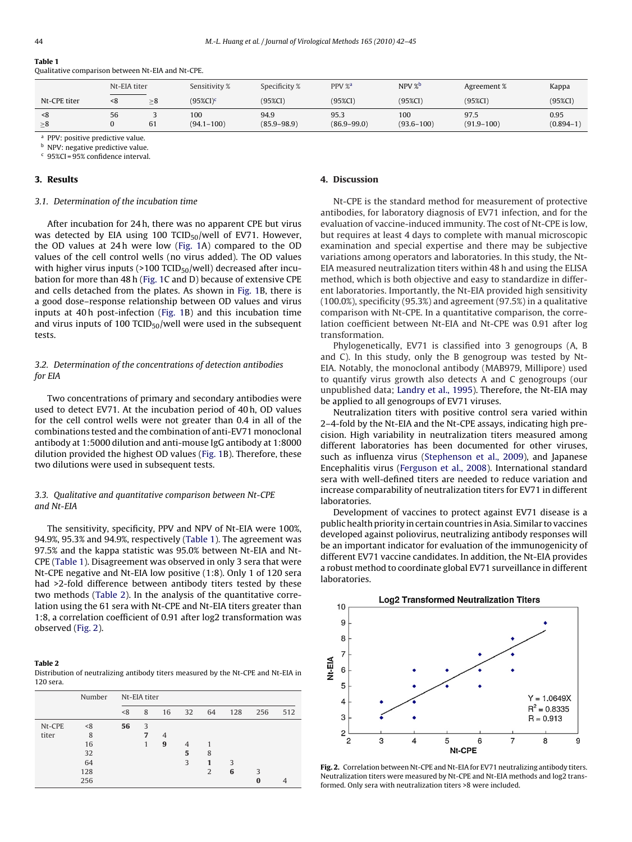|                 | Nt-EIA titer |    | Sensitivity %         | Specificity %           | PPV % <sup>a</sup>      | NPV%                  | Agreement %            | Kappa                 |
|-----------------|--------------|----|-----------------------|-------------------------|-------------------------|-----------------------|------------------------|-----------------------|
| Nt-CPE titer    | < 8          | >8 | $(95\%CI)^c$          | $(95\%CI)$              | $(95\%CI)$              | $(95\%CI)$            | $(95\%CI)$             | $(95\%CI)$            |
| < 8<br>$\geq 8$ | 56           | 61 | 100<br>$(94.1 - 100)$ | 94.9<br>$(85.9 - 98.9)$ | 95.3<br>$(86.9 - 99.0)$ | 100<br>$(93.6 - 100)$ | 97.5<br>$(91.9 - 100)$ | 0.95<br>$(0.894 - 1)$ |

<sup>a</sup> PPV: positive predictive value.

<sup>b</sup> NPV: negative predictive value.

<sup>c</sup> 95%CI = 95% confidence interval.

#### **3. Results**

## 3.1. Determination of the incubation time

Qualitative comparison between Nt-EIA and Nt-CPE.

After incubation for 24 h, there was no apparent CPE but virus was detected by EIA using 100 TCID $_{50}$ /well of EV71. However, the OD values at 24 h were low [\(Fig. 1A](#page-1-0)) compared to the OD values of the cell control wells (no virus added). The OD values with higher virus inputs ( $>100$  TCID<sub>50</sub>/well) decreased after incubation for more than 48 h ([Fig. 1C](#page-1-0) and D) because of extensive CPE and cells detached from the plates. As shown in [Fig. 1B](#page-1-0), there is a good dose–response relationship between OD values and virus inputs at 40 h post-infection [\(Fig. 1B](#page-1-0)) and this incubation time and virus inputs of 100 TCID $_{50}$ /well were used in the subsequent tests.

## 3.2. Determination of the concentrations of detection antibodies for EIA

Two concentrations of primary and secondary antibodies were used to detect EV71. At the incubation period of 40 h, OD values for the cell control wells were not greater than 0.4 in all of the combinations tested and the combination of anti-EV71 monoclonal antibody at 1:5000 dilution and anti-mouse IgG antibody at 1:8000 dilution provided the highest OD values [\(Fig. 1B](#page-1-0)). Therefore, these two dilutions were used in subsequent tests.

## 3.3. Qualitative and quantitative comparison between Nt-CPE and Nt-EIA

The sensitivity, specificity, PPV and NPV of Nt-EIA were 100%, 94.9%, 95.3% and 94.9%, respectively (Table 1). The agreement was 97.5% and the kappa statistic was 95.0% between Nt-EIA and Nt-CPE (Table 1). Disagreement was observed in only 3 sera that were Nt-CPE negative and Nt-EIA low positive (1:8). Only 1 of 120 sera had >2-fold difference between antibody titers tested by these two methods (Table 2). In the analysis of the quantitative correlation using the 61 sera with Nt-CPE and Nt-EIA titers greater than 1:8, a correlation coefficient of 0.91 after log2 transformation was observed (Fig. 2).

#### **Table 2**

Distribution of neutralizing antibody titers measured by the Nt-CPE and Nt-EIA in 120 sera.

|        | Number | Nt-EIA titer |                |                |                |                |     |     |     |
|--------|--------|--------------|----------------|----------------|----------------|----------------|-----|-----|-----|
|        |        | < 8          | 8              | 16             | 32             | 64             | 128 | 256 | 512 |
| Nt-CPE | < 8    | 56           | 3              |                |                |                |     |     |     |
| titer  | 8      |              | $\overline{7}$ | $\overline{4}$ |                |                |     |     |     |
|        | 16     |              |                | 9              | $\overline{4}$ |                |     |     |     |
|        | 32     |              |                |                | 5              | 8              |     |     |     |
|        | 64     |              |                |                | 3              | 1              | 3   |     |     |
|        | 128    |              |                |                |                | $\overline{2}$ | 6   | 3   |     |
|        | 256    |              |                |                |                |                |     | 0   |     |

## **4. Discussion**

Nt-CPE is the standard method for measurement of protective antibodies, for laboratory diagnosis of EV71 infection, and for the evaluation of vaccine-induced immunity. The cost of Nt-CPE is low, but requires at least 4 days to complete with manual microscopic examination and special expertise and there may be subjective variations among operators and laboratories. In this study, the Nt-EIA measured neutralization titers within 48 h and using the ELISA method, which is both objective and easy to standardize in different laboratories. Importantly, the Nt-EIA provided high sensitivity (100.0%), specificity (95.3%) and agreement (97.5%) in a qualitative comparison with Nt-CPE. In a quantitative comparison, the correlation coefficient between Nt-EIA and Nt-CPE was 0.91 after log transformation.

Phylogenetically, EV71 is classified into 3 genogroups (A, B and C). In this study, only the B genogroup was tested by Nt-EIA. Notably, the monoclonal antibody (MAB979, Millipore) used to quantify virus growth also detects A and C genogroups (our unpublished data; [Landry et al., 1995\).](#page-3-0) Therefore, the Nt-EIA may be applied to all genogroups of EV71 viruses.

Neutralization titers with positive control sera varied within 2–4-fold by the Nt-EIA and the Nt-CPE assays, indicating high precision. High variability in neutralization titers measured among different laboratories has been documented for other viruses, such as influenza virus [\(Stephenson et al., 2009\),](#page-3-0) and Japanese Encephalitis virus [\(Ferguson et al., 2008\).](#page-3-0) International standard sera with well-defined titers are needed to reduce variation and increase comparability of neutralization titers for EV71 in different laboratories.

Development of vaccines to protect against EV71 disease is a public health priority in certain countries in Asia. Similar to vaccines developed against poliovirus, neutralizing antibody responses will be an important indicator for evaluation of the immunogenicity of different EV71 vaccine candidates. In addition, the Nt-EIA provides a robust method to coordinate global EV71 surveillance in different laboratories.



**Fig. 2.** Correlation between Nt-CPE and Nt-EIA for EV71 neutralizing antibody titers. Neutralization titers were measured by Nt-CPE and Nt-EIA methods and log2 transformed. Only sera with neutralization titers >8 were included.

**Table 1**